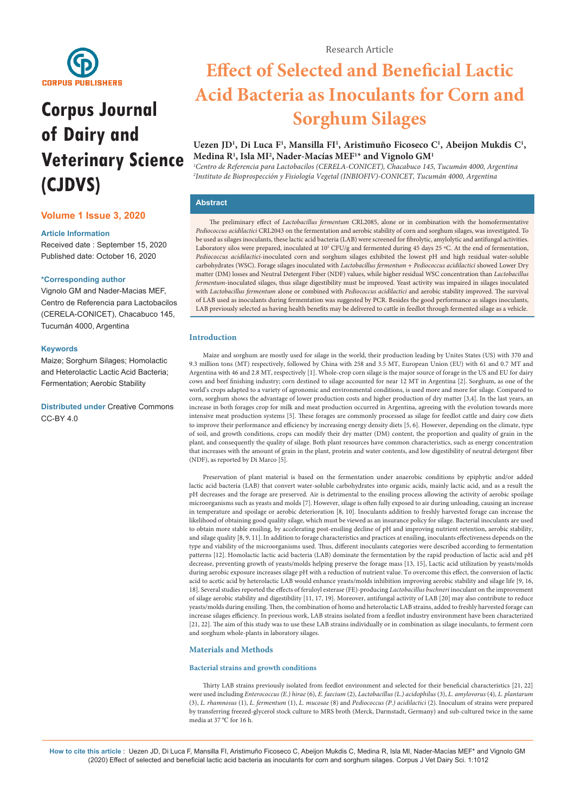

# **Corpus Journal of Dairy and Veterinary Science (CJDVS)**

# **Volume 1 Issue 3, 2020**

## **Article Information**

Received date : September 15, 2020 Published date: October 16, 2020

## **\*Corresponding author**

Vignolo GM and Nader-Macias MEF, Centro de Referencia para Lactobacilos (CERELA-CONICET), Chacabuco 145, Tucumán 4000, Argentina

## **Keywords**

Maize; Sorghum Silages; Homolactic and Heterolactic Lactic Acid Bacteria; Fermentation; Aerobic Stability

**Distributed under** [Creative Commons](https://creativecommons.org/licenses/by/4.0/)   $CC$ -BY 4.0

# **Effect of Selected and Beneficial Lactic Acid Bacteria as Inoculants for Corn and Sorghum Silages**

# Uezen JD<sup>1</sup>, Di Luca F<sup>1</sup>, Mansilla FI<sup>1</sup>, Aristimuño Ficoseco C<sup>1</sup>, Abeijon Mukdis C<sup>1</sup>, **Medina R1 , Isla MI2 , Nader-Macías MEF1 \* and Vignolo GM1**

*1 Centro de Referencia para Lactobacilos (CERELA-CONICET), Chacabuco 145, Tucumán 4000, Argentina 2 Instituto de Bioprospección y Fisiología Vegetal (INBIOFIV)-CONICET, Tucumán 4000, Argentina*

## **Abstract**

The preliminary effect of *Lactobacillus fermentum* CRL2085, alone or in combination with the homofermentative *Pediococcus acidilactici* CRL2043 on the fermentation and aerobic stability of corn and sorghum silages, was investigated. To be used as silages inoculants, these lactic acid bacteria (LAB) were screened for fibrolytic, amylolytic and antifungal activities. Laboratory silos were prepared, inoculated at 10<sup>5</sup> CFU/g and fermented during 45 days 25 °C. At the end of fermentation, *Pediococcus acidilactici*-inoculated corn and sorghum silages exhibited the lowest pH and high residual water-soluble carbohydrates (WSC). Forage silages inoculated with *Lactobacillus fermentum* + *Pediococcus acidilactici* showed Lower Dry matter (DM) losses and Neutral Detergent Fiber (NDF) values, while higher residual WSC concentration than *Lactobacillus fermentum*-inoculated silages, thus silage digestibility must be improved. Yeast activity was impaired in silages inoculated with *Lactobacillus fermentum* alone or combined with *Pediococcus acidilactici* and aerobic stability improved. The survival of LAB used as inoculants during fermentation was suggested by PCR. Besides the good performance as silages inoculants, LAB previously selected as having health benefits may be delivered to cattle in feedlot through fermented silage as a vehicle.

## **Introduction**

Maize and sorghum are mostly used for silage in the world, their production leading by Unites States (US) with 370 and 9.3 million tons (MT) respectively, followed by China with 258 and 3.5 MT, European Union (EU) with 61 and 0.7 MT and Argentina with 46 and 2.8 MT, respectively [1]. Whole-crop corn silage is the major source of forage in the US and EU for dairy cows and beef finishing industry; corn destined to silage accounted for near 12 MT in Argentina [2]. Sorghum, as one of the world's crops adapted to a variety of agronomic and environmental conditions, is used more and more for silage. Compared to corn, sorghum shows the advantage of lower production costs and higher production of dry matter [3,4]. In the last years, an increase in both forages crop for milk and meat production occurred in Argentina, agreeing with the evolution towards more intensive meat production systems [5]. These forages are commonly processed as silage for feedlot cattle and dairy cow diets to improve their performance and efficiency by increasing energy density diets [5, 6]. However, depending on the climate, type of soil, and growth conditions, crops can modify their dry matter (DM) content, the proportion and quality of grain in the plant, and consequently the quality of silage. Both plant resources have common characteristics, such as energy concentration that increases with the amount of grain in the plant, protein and water contents, and low digestibility of neutral detergent fiber (NDF), as reported by Di Marco [5].

Preservation of plant material is based on the fermentation under anaerobic conditions by epiphytic and/or added lactic acid bacteria (LAB) that convert water-soluble carbohydrates into organic acids, mainly lactic acid, and as a result the pH decreases and the forage are preserved. Air is detrimental to the ensiling process allowing the activity of aerobic spoilage microorganisms such as yeasts and molds [7]. However, silage is often fully exposed to air during unloading, causing an increase in temperature and spoilage or aerobic deterioration [8, 10]. Inoculants addition to freshly harvested forage can increase the likelihood of obtaining good quality silage, which must be viewed as an insurance policy for silage. Bacterial inoculants are used to obtain more stable ensiling, by accelerating post-ensiling decline of pH and improving nutrient retention, aerobic stability, and silage quality [8, 9, 11]. In addition to forage characteristics and practices at ensiling, inoculants effectiveness depends on the type and viability of the microorganisms used. Thus, different inoculants categories were described according to fermentation patterns [12]. Homolactic lactic acid bacteria (LAB) dominate the fermentation by the rapid production of lactic acid and pH decrease, preventing growth of yeasts/molds helping preserve the forage mass [13, 15], Lactic acid utilization by yeasts/molds during aerobic exposure increases silage pH with a reduction of nutrient value. To overcome this effect, the conversion of lactic acid to acetic acid by heterolactic LAB would enhance yeasts/molds inhibition improving aerobic stability and silage life [9, 16, 18]. Several studies reported the effects of feruloyl esterase (FE)-producing *Lactobacillus buchneri* inoculant on the improvement of silage aerobic stability and digestibility [11, 17, 19]. Moreover, antifungal activity of LAB [20] may also contribute to reduce yeasts/molds during ensiling. Then, the combination of homo and heterolactic LAB strains, added to freshly harvested forage can increase silages efficiency. In previous work, LAB strains isolated from a feedlot industry environment have been characterized [21, 22]. The aim of this study was to use these LAB strains individually or in combination as silage inoculants, to ferment corn and sorghum whole-plants in laboratory silages.

## **Materials and Methods**

#### **Bacterial strains and growth conditions**

Thirty LAB strains previously isolated from feedlot environment and selected for their beneficial characteristics [21, 22] were used including *Enterococcus (E.) hirae* (6), *E. faecium* (2), *Lactobacillus (L.) acidophilus* (3), *L. amylovorus* (4), *L. plantarum* (3), *L. rhamnosus* (1), *L. fermentum* (1), *L. mucosae* (8) and *Pediococcus (P.) acidilactici* (2). Inoculum of strains were prepared by transferring freezed-glycerol stock culture to MRS broth (Merck, Darmstadt, Germany) and sub-cultured twice in the same media at 37 ºC for 16 h.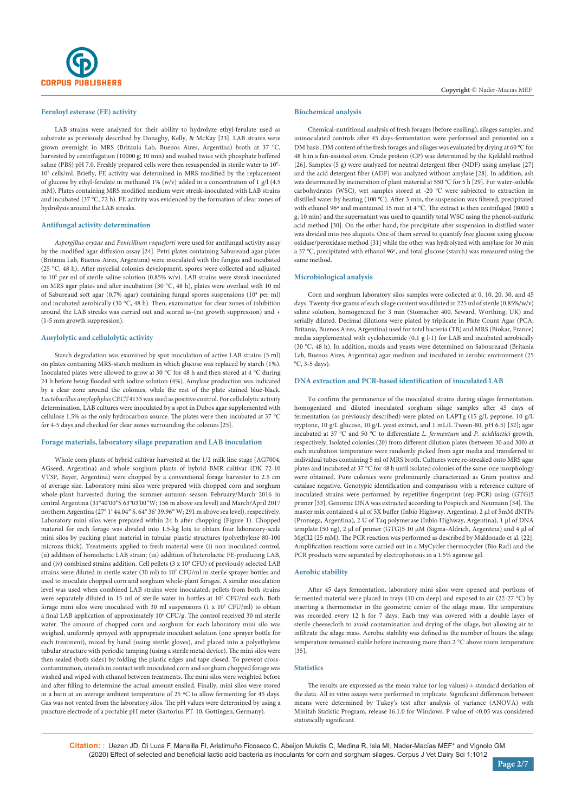

## **Feruloyl esterase (FE) activity**

LAB strains were analyzed for their ability to hydrolyze ethyl-ferulate used as substrate as previously described by Donaghy, Kelly, & McKay [23]. LAB strains were grown overnight in MRS (Britania Lab, Buenos Aires, Argentina) broth at 37 ºC, harvested by centrifugation (10000 g; 10 min) and washed twice with phosphate buffered saline (PBS) pH 7.0. Freshly prepared cells were then resuspended in sterile water to  $10^8$ -109 cells/ml. Briefly, FE activity was determined in MRS modified by the replacement of glucose by ethyl-ferulate in methanol 1% (w/v) added in a concentration of 1 g/l (4.5 mM). Plates containing MRS modified medium were streak-inoculated with LAB strains and incubated (37 ºC, 72 h). FE activity was evidenced by the formation of clear zones of hydrolysis around the LAB streaks.

### **Antifungal activity determination**

*Aspergillus oryzae* and *Penicillium roqueforti* were used for antifungal activity assay by the modified agar diffusion assay [24]. Petri plates containing Sabureaud agar plates (Britania Lab, Buenos Aires, Argentina) were inoculated with the fungus and incubated (25 °C, 48 h). After mycelial colonies development, spores were collected and adjusted to 10<sup>5</sup> per ml of sterile saline solution (0.85% w/v). LAB strains were streak inoculated on MRS agar plates and after incubation (30 °C, 48 h), plates were overlaid with 10 ml of Sabureaud soft agar (0.7% agar) containing fungal spores suspensions (10<sup>4</sup> per ml) and incubated aerobically (30 °C, 48 h). Then, examination for clear zones of inhibition around the LAB streaks was carried out and scored as-(no growth suppression) and + (1-5 mm growth suppression).

#### **Amylolytic and cellulolytic activity**

Starch degradation was examined by spot inoculation of active LAB strains (5 ml) on plates containing MRS-starch medium in which glucose was replaced by starch (1%). Inoculated plates were allowed to grow at 30 °C for 48 h and then stored at 4 °C during 24 h before being flooded with iodine solution (4%). Amylase production was indicated by a clear zone around the colonies, while the rest of the plate stained blue-black. *Lactobacillus amylophylus* CECT4133 was used as positive control. For cellulolytic activity determination, LAB cultures were inoculated by a spot in Dubos agar supplemented with cellulose 1.5% as the only hydrocarbon source. The plates were then incubated at 37 °C for 4-5 days and checked for clear zones surrounding the colonies [25].

#### **Forage materials, laboratory silage preparation and LAB inoculation**

Whole corn plants of hybrid cultivar harvested at the 1/2 milk line stage (AG7004, AGseed, Argentina) and whole sorghum plants of hybrid BMR cultivar (DK 72-10 VT3P, Bayer, Argentina) were chopped by a conventional forage harvester to 2.5 cm of average size. Laboratory mini silos were prepared with chopped corn and sorghum whole-plant harvested during the summer-autumn season February/March 2016 in central Argentina (31°40′00″S 63°03′00″W; 156 m above sea level) and March/April 2017 northern Argentina (27° 1′ 44.04″ S, 64° 36′ 39.96″ W; 291 m above sea level), respectively. Laboratory mini silos were prepared within 24 h after chopping (Figure 1). Chopped material for each forage was divided into 1.5-kg lots to obtain four laboratory-scale mini silos by packing plant material in tubular plastic structures (polyethylene 80-100 microns thick). Treatments applied to fresh material were (i) non inoculated control, (ii) addition of homolactic LAB strain; (iii) addition of heterolactic FE-producing LAB, and (iv) combined strains addition. Cell pellets (3 x 108 CFU) of previously selected LAB strains were diluted in sterile water (30 ml) to 107 CFU/ml in sterile sprayer bottles and used to inoculate chopped corn and sorghum whole-plant forages. A similar inoculation level was used when combined LAB strains were inoculated; pellets from both strains were separately diluted in 15 ml of sterile water in bottles at 107 CFU/ml each. Both forage mini silos were inoculated with 30 ml suspensions (1 x 107 CFU/ml) to obtain a final LAB application of approximately 10<sup>6</sup> CFU/g. The control received 30 ml sterile water. The amount of chopped corn and sorghum for each laboratory mini silo was weighed, uniformly sprayed with appropriate inoculant solution (one sprayer bottle for each treatment), mixed by hand (using sterile gloves), and placed into a polyethylene tubular structure with periodic tamping (using a sterile metal device). The mini silos were then sealed (both sides) by folding the plastic edges and tape closed. To prevent crosscontamination, utensils in contact with inoculated corn and sorghum chopped forage was washed and wiped with ethanol between treatments. The mini silos were weighted before and after filling to determine the actual amount ensiled. Finally, mini silos were stored in a barn at an average ambient temperature of 25 ºC to allow fermenting for 45 days. Gas was not vented from the laboratory silos. The pH values were determined by using a puncture electrode of a portable pH meter (Sartorius PT-10, Gottingen, Germany).

## **Biochemical analysis**

Chemical-nutritional analysis of fresh forages (before ensiling), silages samples, and uninoculated controls after 45 days-fermentation were performed and presented on a DM basis. DM content of the fresh forages and silages was evaluated by drying at 60 ºC for 48 h in a fan-assisted oven. Crude protein (CP) was determined by the Kjeldahl method [26]. Samples (5 g) were analyzed for neutral detergent fiber (NDF) using amylase [27] and the acid detergent fiber (ADF) was analyzed without amylase [28]. In addition, ash was determined by incineration of plant material at 550 ºC for 5 h [29]. For water-soluble carbohydrates (WSC), wet samples stored at -20 ºC were subjected to extraction in distilled water by heating (100 ºC). After 3 min, the suspension was filtered, precipitated with ethanol 96º and maintained 15 min at 4 ºC. The extract is then centrifuged (8000 x g, 10 min) and the supernatant was used to quantify total WSC using the phenol-sulfuric acid method [30]. On the other hand, the precipitate after suspension in distilled water was divided into two aliquots. One of them served to quantify free glucose using glucose oxidase/peroxidase method [31] while the other was hydrolyzed with amylase for 30 min a 37 ºC, precipitated with ethanol 96º, and total glucose (starch) was measured using the same method.

#### **Microbiological analysis**

Corn and sorghum laboratory silos samples were collected at 0, 10, 20, 30, and 45 days. Twenty-five grams of each silage content was diluted in 225 ml of sterile (0.85%/w/v) saline solution, homogenized for 3 min (Stomacher 400, Seward, Worthing, UK) and serially diluted. Decimal dilutions were plated by triplicate in Plate Count Agar (PCA; Britania, Buenos Aires, Argentina) used for total bacteria (TB) and MRS (Biokar, France) media supplemented with cycloheximide (0.1 g l-1) for LAB and incubated aerobically (30 ºC, 48 h). In addition, molds and yeasts were determined on Saboureaud (Britania Lab, Buenos Aires, Argentina) agar medium and incubated in aerobic environment (25 ºC, 3-5 days).

#### **DNA extraction and PCR-based identification of inoculated LAB**

To confirm the permanence of the inoculated strains during silages fermentation, homogenized and diluted inoculated sorghum silage samples after 45 days of fermentation (as previously described) were plated on LAPTg (15 g/L peptone, 10 g/L tryptone, 10 g/L glucose, 10 g/L yeast extract, and 1 mL/L Tween-80, pH 6.5) [32]; agar incubated at 37 ºC and 50 ºC to differentiate *L. fermentum* and *P. acidilactici* growth, respectively. Isolated colonies (20) from different dilution plates (between 30 and 300) at each incubation temperature were randomly picked from agar media and transferred to individual tubes containing 5 ml of MRS broth. Cultures were re-streaked onto MRS agar plates and incubated at 37 °C for 48 h until isolated colonies of the same-one morphology were obtained. Pure colonies were preliminarily characterized as Gram positive and catalase negative. Genotypic identification and comparison with a reference culture of inoculated strains were performed by repetitive fingerprint (rep-PCR) using (GTG)5 primer [33]. Genomic DNA was extracted according to Pospiech and Neumann [34]. The master mix contained 4 µl of 5X buffer (Inbio Highway, Argentina), 2 µl of 5mM dNTPs (Promega, Argentina), 2 U of Taq polymerase (Inbio Highway, Argentina), 1 µl of DNA template (50 ng), 2 μl of primer (GTG)5 10 μM (Sigma-Aldrich, Argentina) and 4 μl of MgCl2 (25 mM). The PCR reaction was performed as described by Maldonado et al. [22]. Amplification reactions were carried out in a MyCycler thermocycler (Bio Rad) and the PCR products were separated by electrophoresis in a 1.5% agarose gel.

#### **Aerobic stability**

After 45 days fermentation, laboratory mini silos were opened and portions of fermented material were placed in trays (10 cm deep) and exposed to air (22-27 °C) by inserting a thermometer in the geometric center of the silage mass. The temperature was recorded every 12 h for 7 days. Each tray was covered with a double layer of sterile cheesecloth to avoid contamination and drying of the silage, but allowing air to infiltrate the silage mass. Aerobic stability was defined as the number of hours the silage temperature remained stable before increasing more than 2 °C above room temperature [35].

#### **Statistics**

The results are expressed as the mean value (or  $log$  values)  $\pm$  standard deviation of the data. All in vitro assays were performed in triplicate. Significant differences between means were determined by Tukey's test after analysis of variance (ANOVA) with Minitab Statistic Program, release 16.1.0 for Windows. P value of <0.05 was considered statistically significant.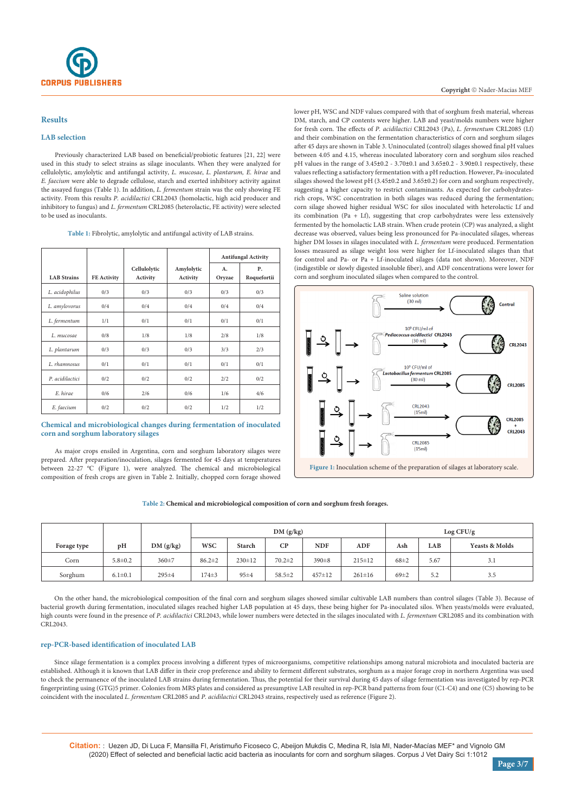## **Results**

## **LAB selection**

Previously characterized LAB based on beneficial/probiotic features [21, 22] were used in this study to select strains as silage inoculants. When they were analyzed for cellulolytic, amylolytic and antifungal activity, *L. mucosae*, *L. plantarum, E. hirae* and *E. faecium* were able to degrade cellulose, starch and exerted inhibitory activity against the assayed fungus (Table 1). In addition, *L. fermentum* strain was the only showing FE activity. From this results *P. acidilactici* CRL2043 (homolactic, high acid producer and inhibitory to fungus) and *L. fermentum* CRL2085 (heterolactic, FE activity) were selected to be used as inoculants

| Table 1: Fibrolytic, amylolytic and antifungal activity of LAB strains. |  |  |  |
|-------------------------------------------------------------------------|--|--|--|
|-------------------------------------------------------------------------|--|--|--|

|                    |             |                          |                        | <b>Antifungal Activity</b> |                   |  |
|--------------------|-------------|--------------------------|------------------------|----------------------------|-------------------|--|
| <b>LAB</b> Strains | FE Activity | Cellulolytic<br>Activity | Amylolytic<br>Activity | А.<br>Oryzae               | Ρ.<br>Roquefortii |  |
| L. acidophilus     | 0/3         | 0/3                      | 0/3                    | 0/3                        | 0/3               |  |
| L. amylovorus      | 0/4         | 0/4                      | 0/4                    | 0/4                        | 0/4               |  |
| L. fermentum       | 1/1         | 0/1                      | 0/1                    | 0/1                        | 0/1               |  |
| L. mucosae         | 0/8         | 1/8                      | 1/8                    | 2/8                        | 1/8               |  |
| L. plantarum       | 0/3         | 0/3                      | 0/3                    | 3/3                        | 2/3               |  |
| L. rhamnosus       | 0/1         | 0/1                      | 0/1                    | 0/1                        | 0/1               |  |
| P. acidilactici    | 0/2         | 0/2                      | 0/2                    | 2/2                        | 0/2               |  |
| E. hirae           | 0/6         | 2/6                      | 0/6                    | 1/6                        | 4/6               |  |
| E. faecium         | 0/2         | 0/2                      | 0/2                    | 1/2                        | 1/2               |  |

## **Chemical and microbiological changes during fermentation of inoculated corn and sorghum laboratory silages**

As major crops ensiled in Argentina, corn and sorghum laboratory silages were prepared. After preparation/inoculation, silages fermented for 45 days at temperatures between 22-27 ºC (Figure 1), were analyzed. The chemical and microbiological composition of fresh crops are given in Table 2. Initially, chopped corn forage showed lower pH, WSC and NDF values compared with that of sorghum fresh material, whereas DM, starch, and CP contents were higher. LAB and yeast/molds numbers were higher for fresh corn. The effects of *P. acidilactici* CRL2043 (Pa), *L. fermentum* CRL2085 (Lf) and their combination on the fermentation characteristics of corn and sorghum silages after 45 days are shown in Table 3. Uninoculated (control) silages showed final pH values between 4.05 and 4.15, whereas inoculated laboratory corn and sorghum silos reached pH values in the range of 3.45±0.2 - 3.70±0.1 and 3.65±0.2 - 3.90±0.1 respectively, these values reflecting a satisfactory fermentation with a pH reduction. However, Pa-inoculated silages showed the lowest pH (3.45±0.2 and 3.65±0.2) for corn and sorghum respectively, suggesting a higher capacity to restrict contaminants. As expected for carbohydratesrich crops, WSC concentration in both silages was reduced during the fermentation; corn silage showed higher residual WSC for silos inoculated with heterolactic Lf and its combination (Pa + Lf), suggesting that crop carbohydrates were less extensively fermented by the homolactic LAB strain. When crude protein (CP) was analyzed, a slight decrease was observed, values being less pronounced for Pa-inoculated silages, whereas higher DM losses in silages inoculated with *L. fermentum* were produced. Fermentation losses measured as silage weight loss were higher for Lf-inoculated silages than that for control and Pa- or Pa + Lf-inoculated silages (data not shown). Moreover, NDF (indigestible or slowly digested insoluble fiber), and ADF concentrations were lower for corn and sorghum inoculated silages when compared to the control.



#### **Table 2: Chemical and microbiological composition of corn and sorghum fresh forages.**

|             |               |             | DM(g/kg)     |               |              |            | Log CFU/g    |            |      |                           |
|-------------|---------------|-------------|--------------|---------------|--------------|------------|--------------|------------|------|---------------------------|
| Forage type | pH            | DM(g/kg)    | <b>WSC</b>   | <b>Starch</b> | $\mathbf{C}$ | <b>NDF</b> | ADF          | Ash        | LAB  | <b>Yeasts &amp; Molds</b> |
| Corn        | $5.8 \pm 0.2$ | 360±7       | $86.2 \pm 2$ | $230 \pm 12$  | $70.2 \pm 2$ | 390±8      | $215 \pm 12$ | $68 + 2$   | 5.67 | 3.1                       |
| Sorghum     | $6.1 \pm 0.1$ | $295 \pm 4$ | $174\pm3$    | $95 + 4$      | $58.5 \pm 2$ | $457 + 12$ | $261 \pm 16$ | $69 \pm 2$ | 5.2  | 3.5                       |

On the other hand, the microbiological composition of the final corn and sorghum silages showed similar cultivable LAB numbers than control silages (Table 3). Because of bacterial growth during fermentation, inoculated silages reached higher LAB population at 45 days, these being higher for Pa-inoculated silos. When yeasts/molds were evaluated, high counts were found in the presence of *P. acidilactici* CRL2043, while lower numbers were detected in the silages inoculated with *L. fermentum* CRL2085 and its combination with CRL2043.

## **rep-PCR-based identification of inoculated LAB**

Since silage fermentation is a complex process involving a different types of microorganisms, competitive relationships among natural microbiota and inoculated bacteria are established. Although it is known that LAB differ in their crop preference and ability to ferment different substrates, sorghum as a major forage crop in northern Argentina was used to check the permanence of the inoculated LAB strains during fermentation. Thus, the potential for their survival during 45 days of silage fermentation was investigated by rep-PCR fingerprinting using (GTG)5 primer. Colonies from MRS plates and considered as presumptive LAB resulted in rep-PCR band patterns from four (C1-C4) and one (C5) showing to be coincident with the inoculated *L. fermentum* CRL2085 and *P. acidilactici* CRL2043 strains, respectively used as reference (Figure 2).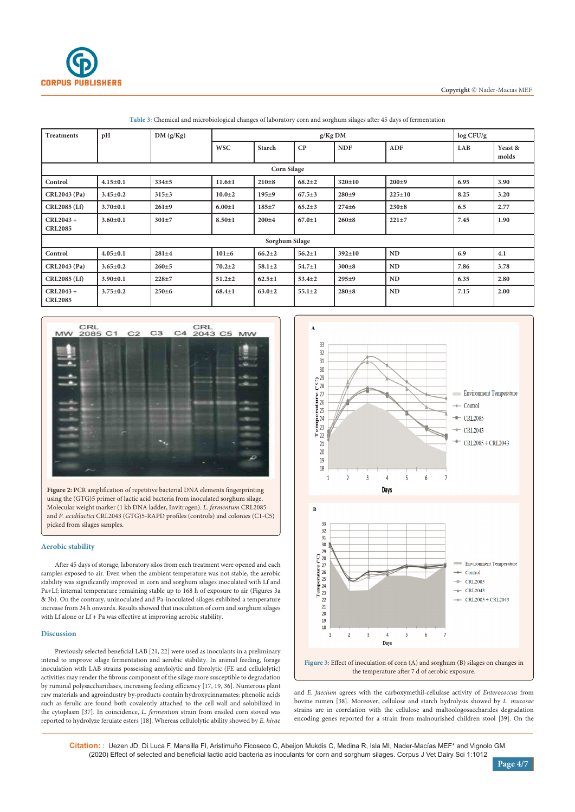

| <b>Treatments</b>             | pH             | DM(g/Kg)  | $g/Kg$ DM    |               |              |              |              | log CFU/g |                  |  |
|-------------------------------|----------------|-----------|--------------|---------------|--------------|--------------|--------------|-----------|------------------|--|
|                               |                |           | <b>WSC</b>   | <b>Starch</b> | CP           | <b>NDF</b>   | <b>ADF</b>   | LAB       | Yeast &<br>molds |  |
| <b>Corn Silage</b>            |                |           |              |               |              |              |              |           |                  |  |
| Control                       | $4.15 \pm 0.1$ | $334 + 5$ | $11.6 \pm 1$ | $210 + 8$     | $68.2 \pm 2$ | $320 \pm 10$ | $200 + 9$    | 6.95      | 3.90             |  |
| CRL2043 (Pa)                  | $3.45 \pm 0.2$ | $315+3$   | $10.0 + 2$   | $195 + 9$     | $67.5 \pm 3$ | $280+9$      | $225 \pm 10$ | 8.25      | 3.20             |  |
| <b>CRL2085 (Lf)</b>           | $3.70 \pm 0.1$ | $261 + 9$ | $6.00 \pm 1$ | $185 + 7$     | $65.2 \pm 3$ | $274 + 6$    | $230 + 8$    | 6.5       | 2.77             |  |
| $CRL2043 +$<br><b>CRL2085</b> | $3.60 \pm 0.1$ | $301 + 7$ | $8.50 \pm 1$ | $200 + 4$     | $67.0 \pm 1$ | $260 + 8$    | $221 + 7$    | 7.45      | 1.90             |  |
| Sorghum Silage                |                |           |              |               |              |              |              |           |                  |  |
| Control                       | $4.05 \pm 0.1$ | $281 + 4$ | $101\pm6$    | $66.2 \pm 2$  | $56.2 \pm 1$ | $392 \pm 10$ | ND           | 6.9       | 4.1              |  |
| <b>CRL2043 (Pa)</b>           | $3.65 \pm 0.2$ | $260 + 5$ | $70.2 \pm 2$ | $58.1 \pm 2$  | $54.7 \pm 1$ | $300 \pm 8$  | ND           | 7.86      | 3.78             |  |
| CRL2085 (Lf)                  | $3.90 \pm 0.1$ | $228 + 7$ | $51.2 \pm 2$ | $62.5 \pm 1$  | $53.4 \pm 2$ | $295 + 9$    | ND           | 6.35      | 2.80             |  |
| $CRL2043 +$<br><b>CRL2085</b> | $3.75 \pm 0.2$ | $250 + 6$ | $68.4 \pm 1$ | $63.0 + 2$    | $55.1 \pm 2$ | $280 + 8$    | ND           | 7.15      | 2.00             |  |

**Table 3:** Chemical and microbiological changes of laboratory corn and sorghum silages after 45 days of fermentation



**Figure 2:** PCR amplification of repetitive bacterial DNA elements fingerprinting using the (GTG)5 primer of lactic acid bacteria from inoculated sorghum silage. Molecular weight marker (1 kb DNA ladder, Invitrogen). *L. fermentum* CRL2085 and *P. acidilactici* CRL2043 (GTG)5-RAPD profiles (controls) and colonies (C1-C5) picked from silages samples.

## **Aerobic stability**

After 45 days of storage, laboratory silos from each treatment were opened and each samples exposed to air. Even when the ambient temperature was not stable, the aerobic stability was significantly improved in corn and sorghum silages inoculated with Lf and Pa+Lf; internal temperature remaining stable up to 168 h of exposure to air (Figures 3a & 3b). On the contrary, uninoculated and Pa-inoculated silages exhibited a temperature increase from 24 h onwards. Results showed that inoculation of corn and sorghum silages with Lf alone or Lf + Pa was effective at improving aerobic stability.

#### **Discussion**

Previously selected beneficial LAB [21, 22] were used as inoculants in a preliminary intend to improve silage fermentation and aerobic stability. In animal feeding, forage inoculation with LAB strains possessing amylolytic and fibrolytic (FE and cellulolytic) activities may render the fibrous component of the silage more susceptible to degradation by ruminal polysaccharidases, increasing feeding efficiency [17, 19, 36]. Numerous plant raw materials and agroindustry by-products contain hydroxycinnamates; phenolic acids such as ferulic are found both covalently attached to the cell wall and solubilized in the cytoplasm [37]. In coincidence, *L. fermentum* strain from ensiled corn stoved was reported to hydrolyze ferulate esters [18]. Whereas cellulolytic ability showed by *E. hirae*



and *E. faecium* agrees with the carboxymethil-cellulase activity of *Enterococcus* from bovine rumen [38]. Moreover, cellulose and starch hydrolysis showed by *L. mucosae* strains are in correlation with the cellulose and maltoologosaccharides degradation

encoding genes reported for a strain from malnourished children stool [39]. On the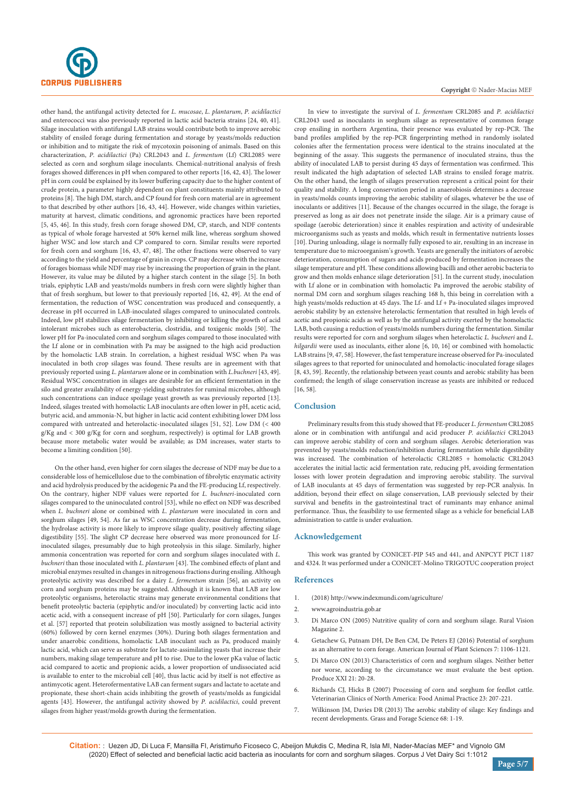

other hand, the antifungal activity detected for *L. mucosae*, *L. plantarum*, *P. acidilactici* and enterococci was also previously reported in lactic acid bacteria strains [24, 40, 41]. Silage inoculation with antifungal LAB strains would contribute both to improve aerobic stability of ensiled forage during fermentation and storage by yeasts/molds reduction or inhibition and to mitigate the risk of mycotoxin poisoning of animals. Based on this characterization, *P. acidilactici* (Pa) CRL2043 and *L. fermentum* (Lf) CRL2085 were selected as corn and sorghum silage inoculants. Chemical-nutritional analysis of fresh forages showed differences in pH when compared to other reports [16, 42, 43]. The lower pH in corn could be explained by its lower buffering capacity due to the higher content of crude protein, a parameter highly dependent on plant constituents mainly attributed to proteins [8]. The high DM, starch, and CP found for fresh corn material are in agreement to that described by other authors [16, 43, 44]. However, wide changes within varieties, maturity at harvest, climatic conditions, and agronomic practices have been reported [5, 45, 46]. In this study, fresh corn forage showed DM, CP, starch, and NDF contents as typical of whole forage harvested at 50% kernel milk line, whereas sorghum showed higher WSC and low starch and CP compared to corn. Similar results were reported for fresh corn and sorghum [16, 43, 47, 48]. The other fractions were observed to vary according to the yield and percentage of grain in crops. CP may decrease with the increase of forages biomass while NDF may rise by increasing the proportion of grain in the plant. However, its value may be diluted by a higher starch content in the silage [5]. In both trials, epiphytic LAB and yeasts/molds numbers in fresh corn were slightly higher than that of fresh sorghum, but lower to that previously reported [16, 42, 49]. At the end of fermentation, the reduction of WSC concentration was produced and consequently, a decrease in pH occurred in LAB-inoculated silages compared to uninoculated controls. Indeed, low pH stabilizes silage fermentation by inhibiting or killing the growth of acid intolerant microbes such as enterobacteria, clostridia, and toxigenic molds [50]. The lower pH for Pa-inoculated corn and sorghum silages compared to those inoculated with the Lf alone or in combination with Pa may be assigned to the high acid production by the homolactic LAB strain. In correlation, a highest residual WSC when Pa was inoculated in both crop silages was found. These results are in agreement with that previously reported using *L. plantarum* alone or in combination with *L.buchneri* [43, 49]. Residual WSC concentration in silages are desirable for an efficient fermentation in the silo and greater availability of energy-yielding substrates for ruminal microbes, although such concentrations can induce spoilage yeast growth as was previously reported [13]. Indeed, silages treated with homolactic LAB inoculants are often lower in pH, acetic acid, butyric acid, and ammonia-N, but higher in lactic acid content exhibiting lower DM loss compared with untreated and heterolactic-inoculated silages [51, 52]. Low DM (< 400 g/Kg and < 300 g/Kg for corn and sorghum, respectively) is optimal for LAB growth because more metabolic water would be available; as DM increases, water starts to become a limiting condition [50].

On the other hand, even higher for corn silages the decrease of NDF may be due to a considerable loss of hemicellulose due to the combination of fibrolytic enzymatic activity and acid hydrolysis produced by the acidogenic Pa and the FE-producing Lf, respectively. On the contrary, higher NDF values were reported for *L. buchneri*-inoculated corn silages compared to the uninoculated control [53], while no effect on NDF was described when *L. buchneri* alone or combined with *L. plantarum* were inoculated in corn and sorghum silages [49, 54]. As far as WSC concentration decrease during fermentation, the hydrolase activity is more likely to improve silage quality, positively affecting silage digestibility [55]. The slight CP decrease here observed was more pronounced for Lfinoculated silages, presumably due to high proteolysis in this silage. Similarly, higher ammonia concentration was reported for corn and sorghum silages inoculated with *L. buchneri* than those inoculated with *L. plantarum* [43]. The combined effects of plant and microbial enzymes resulted in changes in nitrogenous fractions during ensiling. Although proteolytic activity was described for a dairy *L. fermentum* strain [56], an activity on corn and sorghum proteins may be suggested. Although it is known that LAB are low proteolytic organisms, heterolactic strains may generate environmental conditions that benefit proteolytic bacteria (epiphytic and/or inoculated) by converting lactic acid into acetic acid, with a consequent increase of pH [50]. Particularly for corn silages, Junges et al. [57] reported that protein solubilization was mostly assigned to bacterial activity (60%) followed by corn kernel enzymes (30%). During both silages fermentation and under anaerobic conditions, homolactic LAB inoculant such as Pa, produced mainly lactic acid, which can serve as substrate for lactate-assimilating yeasts that increase their numbers, making silage temperature and pH to rise. Due to the lower pKa value of lactic acid compared to acetic and propionic acids, a lower proportion of undissociated acid is available to enter to the microbial cell [40], thus lactic acid by itself is not effective as antimycotic agent. Heterofermentative LAB can ferment sugars and lactate to acetate and propionate, these short-chain acids inhibiting the growth of yeasts/molds as fungicidal agents [43]. However, the antifungal activity showed by *P. acidilactici*, could prevent silages from higher yeast/molds growth during the fermentation.

In view to investigate the survival of *L. fermentum* CRL2085 and *P. acidilactici* CRL2043 used as inoculants in sorghum silage as representative of common forage crop ensiling in northern Argentina, their presence was evaluated by rep-PCR. The band profiles amplified by the rep-PCR fingerprinting method in randomly isolated colonies after the fermentation process were identical to the strains inoculated at the beginning of the assay. This suggests the permanence of inoculated strains, thus the ability of inoculated LAB to persist during 45 days of fermentation was confirmed. This result indicated the high adaptation of selected LAB strains to ensiled forage matrix. On the other hand, the length of silages preservation represent a critical point for their quality and stability. A long conservation period in anaerobiosis determines a decrease in yeasts/molds counts improving the aerobic stability of silages, whatever be the use of inoculants or additives [11]. Because of the changes occurred in the silage, the forage is preserved as long as air does not penetrate inside the silage. Air is a primary cause of spoilage (aerobic deterioration) since it enables respiration and activity of undesirable microorganisms such as yeasts and molds, which result in fermentative nutrients losses [10]. During unloading, silage is normally fully exposed to air, resulting in an increase in temperature due to microorganism's growth. Yeasts are generally the initiators of aerobic deterioration, consumption of sugars and acids produced by fermentation increases the silage temperature and pH. These conditions allowing bacilli and other aerobic bacteria to grow and then molds enhance silage deterioration [51]. In the current study, inoculation with Lf alone or in combination with homolactic Pa improved the aerobic stability of normal DM corn and sorghum silages reaching 168 h, this being in correlation with a high yeasts/molds reduction at 45 days. The Lf- and Lf + Pa-inoculated silages improved aerobic stability by an extensive heterolactic fermentation that resulted in high levels of acetic and propionic acids as well as by the antifungal activity exerted by the homolactic LAB, both causing a reduction of yeasts/molds numbers during the fermentation. Similar results were reported for corn and sorghum silages when heterolactic *L. buchneri* and *L. hilgardii* were used as inoculants, either alone [6, 10, 16] or combined with homolactic LAB strains [9, 47, 58]. However, the fast temperature increase observed for Pa-inoculated silages agrees to that reported for uninoculated and homolactic-inoculated forage silages [8, 43, 59]. Recently, the relationship between yeast counts and aerobic stability has been confirmed; the length of silage conservation increase as yeasts are inhibited or reduced [16, 58].

## **Conclusion**

Preliminary results from this study showed that FE-producer *L. fermentum* CRL2085 alone or in combination with antifungal and acid producer *P. acidilactici* CRL2043 can improve aerobic stability of corn and sorghum silages. Aerobic deterioration was prevented by yeasts/molds reduction/inhibition during fermentation while digestibility was increased. The combination of heterolactic CRL2085 + homolactic CRL2043 accelerates the initial lactic acid fermentation rate, reducing pH, avoiding fermentation losses with lower protein degradation and improving aerobic stability. The survival of LAB inoculants at 45 days of fermentation was suggested by rep-PCR analysis. In addition, beyond their effect on silage conservation, LAB previously selected by their survival and benefits in the gastrointestinal tract of ruminants may enhance animal performance. Thus, the feasibility to use fermented silage as a vehicle for beneficial LAB administration to cattle is under evaluation.

#### **Acknowledgement**

This work was granted by CONICET-PIP 545 and 441, and ANPCYT PICT 1187 and 4324. It was performed under a CONICET-Molino TRIGOTUC cooperation project

#### **References**

- 1. (2018) <http://www.indexmundi.com/agriculture/>
- 2. [www.agroindustria.gob.ar](file:///C:/Users/prabha/Downloads/www.agroindustria.gob.ar)
- 3. Di Marco ON (2005) Nutritive quality of corn and sorghum silage. Rural Vision Magazine 2.
- 4. Getachew G, Putnam DH, De Ben CM, De Peters EJ (2016) Potential of sorghum as an alternative to corn forage. American Journal of Plant Sciences 7: 1106-1121.
- 5. Di Marco ON (2013) Characteristics of corn and sorghum silages. Neither better nor worse, according to the circumstance we must evaluate the best option. Produce XXI 21: 20-28.
- 6. [Richards CJ, Hicks B \(2007\) Processing of corn and sorghum for feedlot cattle.](https://www.sciencedirect.com/science/article/abs/pii/S0749072007000308)  [Veterinarian Clinics of North America: Food Animal Practice 23: 207-221.](https://www.sciencedirect.com/science/article/abs/pii/S0749072007000308)
- 7. [Wilkinson JM, Davies DR \(2013\) The aerobic stability of silage: Key findings and](https://onlinelibrary.wiley.com/doi/abs/10.1111/j.1365-2494.2012.00891.x)  [recent developments. Grass and Forage Science 68: 1-19.](https://onlinelibrary.wiley.com/doi/abs/10.1111/j.1365-2494.2012.00891.x)

**Citation:** : Uezen JD, Di Luca F, Mansilla FI, Aristimuño Ficoseco C, Abeijon Mukdis C, Medina R, Isla MI, Nader-Macías MEF\* and Vignolo GM (2020) Effect of selected and beneficial lactic acid bacteria as inoculants for corn and sorghum silages. Corpus J Vet Dairy Sci 1:1012

**Page 5/7**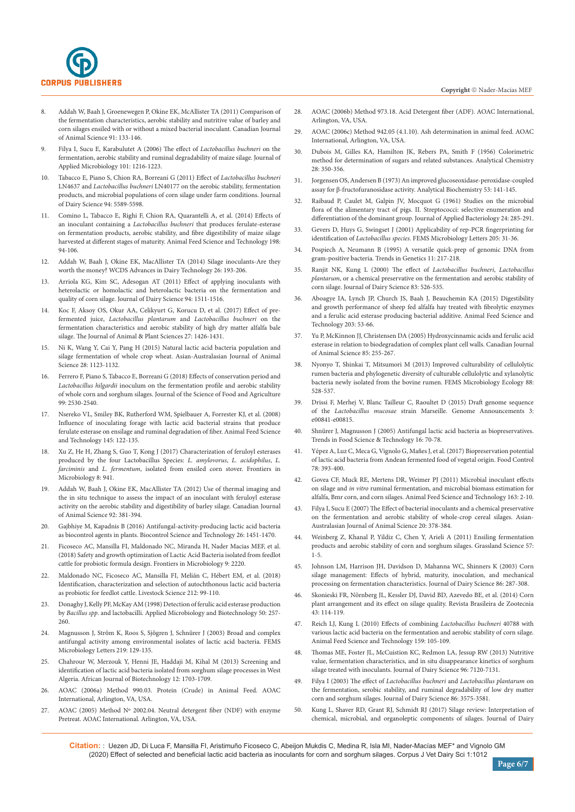

- 8. [Addah W, Baah J, Groenewegen P, Okine EK, McAllister TA \(2011\) Comparison of](https://cdnsciencepub.com/doi/full/10.4141/CJAS10071)  [the fermentation characteristics, aerobic stability and nutritive value of barley and](https://cdnsciencepub.com/doi/full/10.4141/CJAS10071)  [corn silages ensiled with or without a mixed bacterial inoculant. Canadian Journal](https://cdnsciencepub.com/doi/full/10.4141/CJAS10071)  [of Animal Science 91: 133-146.](https://cdnsciencepub.com/doi/full/10.4141/CJAS10071)
- 9. Filya I, Sucu E, Karabulutet A (2006) The effect of *Lactobacillus buchneri* on the fermentation, aerobic stability and ruminal degradability of maize silage. Journal of Applied Microbiology 101: 1216-1223.
- 10. [Tabacco E, Piano S, Chion RA, Borreani G \(2011\) Effect of](https://www.sciencedirect.com/science/article/pii/S0022030211005868) *Lactobacillus buchneri* LN4637 and *Lactobacillus buchneri* [LN40177 on the aerobic stability, fermentation](https://www.sciencedirect.com/science/article/pii/S0022030211005868)  [products, and microbial populations of corn silage under farm conditions. Journal](https://www.sciencedirect.com/science/article/pii/S0022030211005868)  [of Dairy Science 94: 5589-5598.](https://www.sciencedirect.com/science/article/pii/S0022030211005868)
- 11. [Comino L, Tabacco E, Righi F, Chion RA, Quarantelli A, et al. \(2014\) Effects of](https://www.sciencedirect.com/science/article/pii/S0377840114003460?via%3Dihub)  an inoculant containing a *Lactobacillus buchneri* [that produces ferulate-esterase](https://www.sciencedirect.com/science/article/pii/S0377840114003460?via%3Dihub)  [on fermentation products, aerobic stability, and fibre digestibility of maize silage](https://www.sciencedirect.com/science/article/pii/S0377840114003460?via%3Dihub)  [harvested at different stages of maturity. Animal Feed Science and Technology 198:](https://www.sciencedirect.com/science/article/pii/S0377840114003460?via%3Dihub)  [94-106.](https://www.sciencedirect.com/science/article/pii/S0377840114003460?via%3Dihub)
- 12. Addah W, Baah J, Okine EK, MacAllister TA (2014) Silage inoculants-Are they worth the money? WCDS Advances in Dairy Technology 26: 193-206.
- 13. [Arriola KG, Kim SC, Adesogan AT \(2011\) Effect of applying inoculants with](https://www.sciencedirect.com/science/article/pii/S0022030211001044)  [heterolactic or homolactic and heterolactic bacteria on the fermentation and](https://www.sciencedirect.com/science/article/pii/S0022030211001044)  [quality of corn silage. Journal of Dairy Science 94: 1511-1516.](https://www.sciencedirect.com/science/article/pii/S0022030211001044)
- 14. [Koc F, Aksoy OS, Okur AA, Celikyurt G, Korucu D, et al. \(2017\) Effect of pre](http://www.thejaps.org.pk/docs/v-27-05/04.pdf)fermented juice, *Lactobacillus plantarum* and *[Lactobacillus buchneri](http://www.thejaps.org.pk/docs/v-27-05/04.pdf)* on the [fermentation characteristics and aerobic stability of high dry matter alfalfa bale](http://www.thejaps.org.pk/docs/v-27-05/04.pdf)  [silage. The Journal of Animal & Plant Sciences 27: 1426-1431.](http://www.thejaps.org.pk/docs/v-27-05/04.pdf)
- 15. [Ni K, Wang Y, Cai Y, Pang H \(2015\) Natural lactic acid bacteria population and](https://pubmed.ncbi.nlm.nih.gov/26104520/)  [silage fermentation of whole crop wheat. Asian-Australasian Journal of Animal](https://pubmed.ncbi.nlm.nih.gov/26104520/)  [Science 28: 1123-1132.](https://pubmed.ncbi.nlm.nih.gov/26104520/)
- 16. [Ferrero F, Piano S, Tabacco E, Borreani G \(2018\) Effects of conservation period and](https://onlinelibrary.wiley.com/doi/abs/10.1002/jsfa.9463)  *Lactobacillus hilgardii* [inoculum on the fermentation profile and aerobic stability](https://onlinelibrary.wiley.com/doi/abs/10.1002/jsfa.9463)  [of whole corn and sorghum silages. Journal of the Science of Food and Agriculture](https://onlinelibrary.wiley.com/doi/abs/10.1002/jsfa.9463)  [99: 2530-2540.](https://onlinelibrary.wiley.com/doi/abs/10.1002/jsfa.9463)
- 17. [Nsereko VL, Smiley BK, Rutherford WM, Spielbauer A, Forrester KJ, et al. \(2008\)](https://europepmc.org/article/agr/ind44090324)  [Influence of inoculating forage with lactic acid bacterial strains that produce](https://europepmc.org/article/agr/ind44090324)  [ferulate esterase on ensilage and ruminal degradation of fiber. Animal Feed Science](https://europepmc.org/article/agr/ind44090324)  [and Technology 145: 122-135.](https://europepmc.org/article/agr/ind44090324)
- Xu Z, He H, Zhang S, Guo T, Kong J (2017) Characterization of feruloyl esterases [produced by the four Lactobacillus Species:](https://www.frontiersin.org/articles/10.3389/fmicb.2017.00941/full) *L. amylovorus*, *L. acidophilus*, *L. farciminis* and *L. fermentum*[, isolated from ensiled corn stover. Frontiers in](https://www.frontiersin.org/articles/10.3389/fmicb.2017.00941/full)  [Microbiology 8: 941.](https://www.frontiersin.org/articles/10.3389/fmicb.2017.00941/full)
- 19. [Addah W, Baah J, Okine EK, MacAllister TA \(2012\) Use of thermal imaging and](https://cdnsciencepub.com/doi/full/10.4141/cjas2012-016)  [the in situ technique to assess the impact of an inoculant with feruloyl esterase](https://cdnsciencepub.com/doi/full/10.4141/cjas2012-016)  [activity on the aerobic stability and digestibility of barley silage. Canadian Journal](https://cdnsciencepub.com/doi/full/10.4141/cjas2012-016)  [of Animal Science 92: 381-394.](https://cdnsciencepub.com/doi/full/10.4141/cjas2012-016)
- 20. [Gajbhiye M, Kapadnis B \(2016\) Antifungal-activity-producing lactic acid bacteria](https://www.tandfonline.com/doi/full/10.1080/09583157.2016.1213793)  [as biocontrol agents in plants. Biocontrol Science and Technology 26: 1451-1470.](https://www.tandfonline.com/doi/full/10.1080/09583157.2016.1213793)
- 21. [Ficoseco AC, Mansilla FI, Maldonado NC, Miranda H, Nader Macias MEF, et al.](https://www.frontiersin.org/articles/10.3389/fmicb.2018.02220/full)  [\(2018\) Safety and growth optimization of Lactic Acid Bacteria isolated from feedlot](https://www.frontiersin.org/articles/10.3389/fmicb.2018.02220/full)  [cattle for probiotic formula design. Frontiers in Microbiology 9: 2220.](https://www.frontiersin.org/articles/10.3389/fmicb.2018.02220/full)
- 22. [Maldonado NC, Ficoseco AC, Mansilla FI, Meli](https://www.sciencedirect.com/science/article/abs/pii/S1871141318300994)án C, Hébert EM, et al. (2018) [Identification, characterization and selection of autochthonous lactic acid bacteria](https://www.sciencedirect.com/science/article/abs/pii/S1871141318300994)  [as probiotic for feedlot cattle. Livestock Science 212: 99-110.](https://www.sciencedirect.com/science/article/abs/pii/S1871141318300994)
- 23. [Donaghy J, Kelly PF, McKay AM \(1998\) Detection of ferulic acid esterase production](https://link.springer.com/article/10.1007/s002530051286)  by *Bacillus spp*[. and lactobacilli. Applied Microbiology and Biotechnology 50: 257-](https://link.springer.com/article/10.1007/s002530051286) [260.](https://link.springer.com/article/10.1007/s002530051286)
- 24. Magnusson J, Ström K, Roos S, Sjögren J, Schnürer J (2003) Broad and complex [antifungal activity among environmental isolates of lactic acid bacteria. FEMS](https://onlinelibrary.wiley.com/doi/abs/10.1016/S0378-1097(02)01207-7)  [Microbiology Letters 219: 129-135.](https://onlinelibrary.wiley.com/doi/abs/10.1016/S0378-1097(02)01207-7)
- 25. [Chahrour W, Merzouk Y, Henni JE, Haddaji M, Kihal M \(2013\) Screening and](https://www.ajol.info/index.php/ajb/article/view/128851)  [identification of lactic acid bacteria isolated from sorghum silage processes in West](https://www.ajol.info/index.php/ajb/article/view/128851)  [Algeria. African Journal of Biotechnology 12: 1703-1709.](https://www.ajol.info/index.php/ajb/article/view/128851)
- 26. AOAC (2006a) Method 990.03. Protein (Crude) in Animal Feed. AOAC International, Arlington, VA, USA.
- 27. AOAC (2005) Method Nº 2002.04. Neutral detergent fiber (NDF) with enzyme Pretreat. AOAC International. Arlington, VA, USA.
- 28. AOAC (2006b) Method 973.18. Acid Detergent fiber (ADF). AOAC International, Arlington, VA, USA.
- 29. AOAC (2006c) Method 942.05 (4.1.10). Ash determination in animal feed. AOAC International, Arlington, VA, USA.
- 30. [Dubois M, Gilles KA, Hamilton JK, Rebers PA, Smith F \(1956\) Colorimetric](https://pubs.acs.org/doi/10.1021/ac60111a017)  [method for determination of sugars and related substances. Analytical Chemistry](https://pubs.acs.org/doi/10.1021/ac60111a017)  [28: 350-356.](https://pubs.acs.org/doi/10.1021/ac60111a017)
- 31. [Jorgensen OS, Andersen B \(1973\) An improved glucoseoxidase-peroxidase-coupled](https://www.sciencedirect.com/science/article/abs/pii/0003269773904156)  assay for β[-fructofuranosidase activity. Analytical Biochemistry 53: 141-145.](https://www.sciencedirect.com/science/article/abs/pii/0003269773904156)
- 32. [Raibaud P, Caulet M, Galpin JV, Mocquot G \(1961\) Studies on the microbial](https://sfamjournals.onlinelibrary.wiley.com/doi/abs/10.1111/j.1365-2672.1961.tb00262.x)  [flora of the alimentary tract of pigs. II. Streptococci: selective enumeration and](https://sfamjournals.onlinelibrary.wiley.com/doi/abs/10.1111/j.1365-2672.1961.tb00262.x)  [differentiation of the dominant group. Journal of Applied Bacteriology 24: 285-291.](https://sfamjournals.onlinelibrary.wiley.com/doi/abs/10.1111/j.1365-2672.1961.tb00262.x)
- 33. [Gevers D, Huys G, Swingset J \(2001\) Applicability of rep-PCR fingerprinting for](https://pubmed.ncbi.nlm.nih.gov/11728712/)  identification of *Lactobacillus species*[. FEMS Microbiology Letters 205: 31-36.](https://pubmed.ncbi.nlm.nih.gov/11728712/)
- 34. [Pospiech A, Neumann B \(1995\) A versatile quick-prep of genomic DNA from](http://europepmc.org/article/MED/7638902)  [gram-positive bacteria. Trends in Genetics 11: 217-218.](http://europepmc.org/article/MED/7638902)
- 35. [Ranjit NK, Kung L \(2000\) The effect of](https://pubmed.ncbi.nlm.nih.gov/10750111/) *Lactobacillus buchneri*, *Lactobacillus plantarum*[, or a chemical preservative on the fermentation and aerobic stability of](https://pubmed.ncbi.nlm.nih.gov/10750111/)  [corn silage. Journal of Dairy Science 83: 526-535.](https://pubmed.ncbi.nlm.nih.gov/10750111/)
- 36. [Aboagye IA, Lynch JP, Church JS, Baah J, Beauchemin KA \(2015\) Digestibility](https://www.sciencedirect.com/science/article/pii/S0377840115000826?via%3Dihub)  [and growth performance of sheep fed alfalfa hay treated with fibrolytic enzymes](https://www.sciencedirect.com/science/article/pii/S0377840115000826?via%3Dihub)  [and a ferulic acid esterase producing bacterial additive. Animal Feed Science and](https://www.sciencedirect.com/science/article/pii/S0377840115000826?via%3Dihub)  [Technology 203: 53-66.](https://www.sciencedirect.com/science/article/pii/S0377840115000826?via%3Dihub)
- 37. [Yu P, McKinnon JJ, Christensen DA \(2005\) Hydroxycinnamic acids and ferulic acid](https://cdnsciencepub.com/doi/abs/10.4141/A04-010)  [esterase in relation to biodegradation of complex plant cell walls. Canadian Journal](https://cdnsciencepub.com/doi/abs/10.4141/A04-010)  [of Animal Science 85: 255-267.](https://cdnsciencepub.com/doi/abs/10.4141/A04-010)
- 38. [Nyonyo T, Shinkai T, Mitsumori M \(2013\) Improved culturability of cellulolytic](https://onlinelibrary.wiley.com/doi/abs/10.1111/1574-6941.12318)  [rumen bacteria and phylogenetic diversity of culturable cellulolytic and xylanolytic](https://onlinelibrary.wiley.com/doi/abs/10.1111/1574-6941.12318)  [bacteria newly isolated from the bovine rumen. FEMS Microbiology Ecology 88:](https://onlinelibrary.wiley.com/doi/abs/10.1111/1574-6941.12318)  [528-537.](https://onlinelibrary.wiley.com/doi/abs/10.1111/1574-6941.12318)
- 39. [Drissi F, Merhej V, Blanc Tailleur C, Raoultet D \(2015\) Draft genome sequence](https://mra.asm.org/content/3/4/e00841-15)  of the *Lactobacillus mucosae* [strain Marseille. Genome Announcements 3:](https://mra.asm.org/content/3/4/e00841-15)  [e00841-e00815.](https://mra.asm.org/content/3/4/e00841-15)
- 40. Shnü[rer J, Magnusson J \(2005\) Antifungal lactic acid bacteria as biopreservatives.](https://www.sciencedirect.com/science/article/abs/pii/S0924224404001943)  [Trends in Food Science & Technology 16: 70-78.](https://www.sciencedirect.com/science/article/abs/pii/S0924224404001943)
- 41. Yépez A, Luz C, Meca G, Vignolo G, Mañ[es J, et al. \(2017\) Biopreservation potential](https://www.sciencedirect.com/science/article/abs/pii/S0956713517301299?via%3Dihub)  [of lactic acid bacteria from Andean fermented food of vegetal origin. Food Control](https://www.sciencedirect.com/science/article/abs/pii/S0956713517301299?via%3Dihub)  [78: 393-400.](https://www.sciencedirect.com/science/article/abs/pii/S0956713517301299?via%3Dihub)
- 42. [Govea CF, Muck RE, Mertens DR, Weimer PJ \(2011\) Microbial inoculant effects](https://pubag.nal.usda.gov/catalog/48600)  on silage and *in vitro* [ruminal fermentation, and microbial biomass estimation for](https://pubag.nal.usda.gov/catalog/48600)  [alfalfa, Bmr corn, and corn silages. Animal Feed Science and Technology 163: 2-10.](https://pubag.nal.usda.gov/catalog/48600)
- 43. [Filya I, Sucu E \(2007\) The Effect of bacterial inoculants and a chemical preservative](https://www.ajas.info/journal/view.php?number=21525)  [on the fermentation and aerobic stability of whole-crop cereal silages. Asian-](https://www.ajas.info/journal/view.php?number=21525)[Australasian Journal of Animal Science 20: 378-384.](https://www.ajas.info/journal/view.php?number=21525)
- 44. [Weinberg Z, Khanal P, Yildiz C, Chen Y, Arieli A \(2011\) Ensiling fermentation](https://onlinelibrary.wiley.com/doi/abs/10.1111/j.1744-697X.2010.00207.x)  [products and aerobic stability of corn and sorghum silages. Grassland Science 57:](https://onlinelibrary.wiley.com/doi/abs/10.1111/j.1744-697X.2010.00207.x)  [1-5.](https://onlinelibrary.wiley.com/doi/abs/10.1111/j.1744-697X.2010.00207.x)
- 45. [Johnson LM, Harrison JH, Davidson D, Mahanna WC, Shinners K \(2003\) Corn](https://www.sciencedirect.com/science/article/pii/S0022030203736078)  [silage management: Effects of hybrid, maturity, inoculation, and mechanical](https://www.sciencedirect.com/science/article/pii/S0022030203736078)  [processing on fermentation characteristics. Journal of Dairy Science 86: 287-308.](https://www.sciencedirect.com/science/article/pii/S0022030203736078)
- 46. Skonieski FR, Nö[rnberg JL, Kessler DJ, David BD, Azevedo BE, et al. \(2014\) Corn](https://www.scielo.br/scielo.php?script=sci_arttext&pid=S1516-35982014000300002)  [plant arrangement and its effect on silage quality. Revista Brasileira de Zootecnia](https://www.scielo.br/scielo.php?script=sci_arttext&pid=S1516-35982014000300002)  [43: 114-119.](https://www.scielo.br/scielo.php?script=sci_arttext&pid=S1516-35982014000300002)
- 47. [Reich LJ, Kung L \(2010\) Effects of combining](https://www.sciencedirect.com/science/article/pii/S0377840110001823) *Lactobacillus buchneri* 40788 with [various lactic acid bacteria on the fermentation and aerobic stability of corn silage.](https://www.sciencedirect.com/science/article/pii/S0377840110001823)  [Animal Feed Science and Technology 159: 105-109.](https://www.sciencedirect.com/science/article/pii/S0377840110001823)
- 48. [Thomas ME, Foster JL, McCuistion KC, Redmon LA, Jessup RW \(2013\) Nutritive](https://www.journalofdairyscience.org/article/S0022-0302(13)00618-8/fulltext)  [value, fermentation characteristics, and in situ disappearance kinetics of sorghum](https://www.journalofdairyscience.org/article/S0022-0302(13)00618-8/fulltext)  [silage treated with inoculants. Journal of Dairy Science 96: 7120-7131.](https://www.journalofdairyscience.org/article/S0022-0302(13)00618-8/fulltext)
- 49. [Filya I \(2003\) The effect of](https://pubmed.ncbi.nlm.nih.gov/14672188/) *Lactobacillus buchneri* and *Lactobacillus plantarum* on [the fermentation, serobic stability, and ruminal degradability of low dry matter](https://pubmed.ncbi.nlm.nih.gov/14672188/)  [corn and sorghum silages. Journal of Dairy Science 86: 3575-3581.](https://pubmed.ncbi.nlm.nih.gov/14672188/)
- 50. [Kung L, Shaver RD, Grant RJ, Schmidt RJ \(2017\) Silage review: Interpretation of](https://www.journalofdairyscience.org/article/S0022-0302(18)30324-2/fulltext)  [chemical, microbial, and organoleptic components of silages. Journal of Dairy](https://www.journalofdairyscience.org/article/S0022-0302(18)30324-2/fulltext)